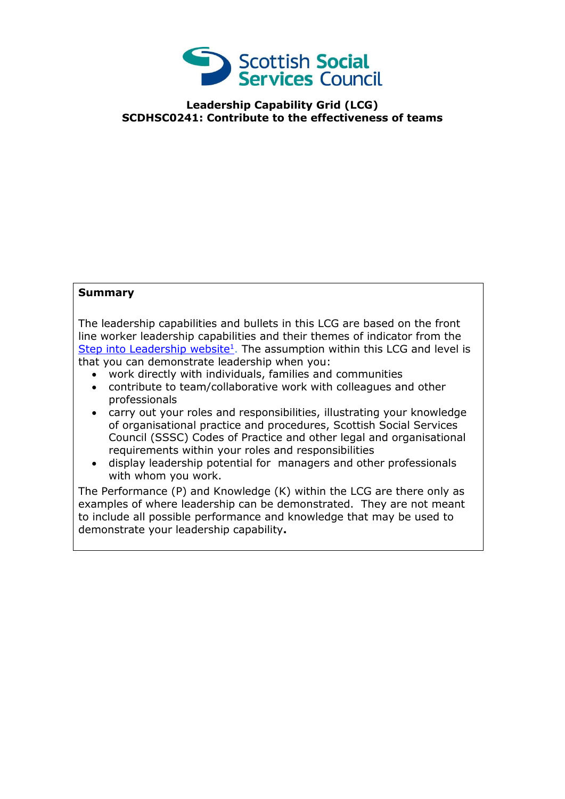

## **Leadership Capability Grid (LCG) SCDHSC0241: Contribute to the effectiveness of teams**

## **Summary**

The leadership capabilities and bullets in this LCG are based on the front line worker leadership capabilities and their themes of indicator from the [Step into Leadership website](http://www.stepintoleadership.info/)<sup>1</sup>. The assumption within this LCG and level is that you can demonstrate leadership when you:

- work directly with individuals, families and communities
- contribute to team/collaborative work with colleagues and other professionals
- carry out your roles and responsibilities, illustrating your knowledge of organisational practice and procedures, Scottish Social Services Council (SSSC) Codes of Practice and other legal and organisational requirements within your roles and responsibilities
- display leadership potential for managers and other professionals with whom you work.

The Performance (P) and Knowledge (K) within the LCG are there only as examples of where leadership can be demonstrated. They are not meant to include all possible performance and knowledge that may be used to demonstrate your leadership capability**.**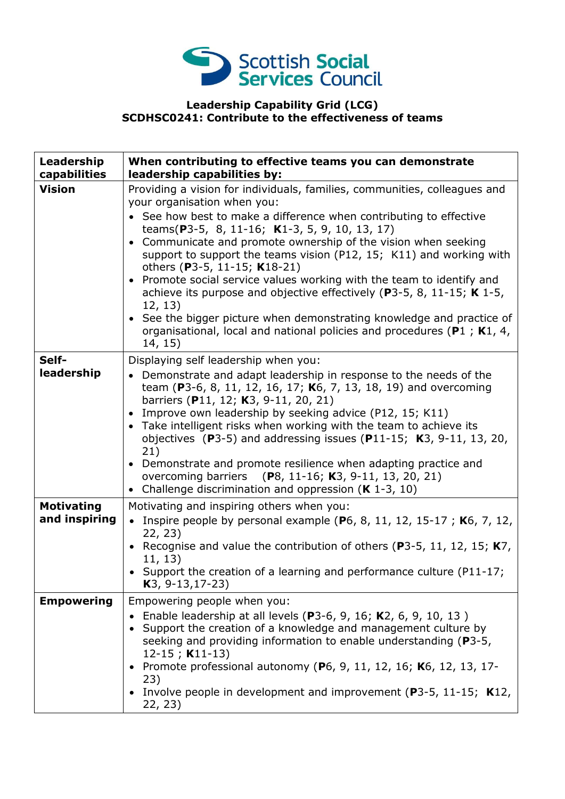

## **Leadership Capability Grid (LCG) SCDHSC0241: Contribute to the effectiveness of teams**

| Leadership<br>capabilities         | When contributing to effective teams you can demonstrate<br>leadership capabilities by:                                                                                                                                                                                                                                                                                                                                                                                                                                                                                                                                                                                                                                                |
|------------------------------------|----------------------------------------------------------------------------------------------------------------------------------------------------------------------------------------------------------------------------------------------------------------------------------------------------------------------------------------------------------------------------------------------------------------------------------------------------------------------------------------------------------------------------------------------------------------------------------------------------------------------------------------------------------------------------------------------------------------------------------------|
| <b>Vision</b>                      | Providing a vision for individuals, families, communities, colleagues and<br>your organisation when you:<br>See how best to make a difference when contributing to effective<br>teams(P3-5, 8, 11-16; K1-3, 5, 9, 10, 13, 17)<br>• Communicate and promote ownership of the vision when seeking<br>support to support the teams vision (P12, 15; K11) and working with<br>others (P3-5, 11-15; K18-21)<br>• Promote social service values working with the team to identify and<br>achieve its purpose and objective effectively ( $P3-5$ , 8, 11-15; K 1-5,<br>12, 13)<br>• See the bigger picture when demonstrating knowledge and practice of<br>organisational, local and national policies and procedures (P1 ; K1, 4,<br>14, 15) |
| Self-<br>leadership                | Displaying self leadership when you:<br>• Demonstrate and adapt leadership in response to the needs of the<br>team (P3-6, 8, 11, 12, 16, 17; K6, 7, 13, 18, 19) and overcoming<br>barriers (P11, 12; K3, 9-11, 20, 21)<br>• Improve own leadership by seeking advice (P12, 15; K11)<br>• Take intelligent risks when working with the team to achieve its<br>objectives (P3-5) and addressing issues (P11-15; $K3$ , 9-11, 13, 20,<br>21)<br>• Demonstrate and promote resilience when adapting practice and<br>overcoming barriers (P8, 11-16; K3, 9-11, 13, 20, 21)<br>• Challenge discrimination and oppression $(K 1-3, 10)$                                                                                                       |
| <b>Motivating</b><br>and inspiring | Motivating and inspiring others when you:<br>• Inspire people by personal example (P6, 8, 11, 12, 15-17; K6, 7, 12,<br>22, 23)<br>• Recognise and value the contribution of others (P3-5, 11, 12, 15; $K7$ ,<br>11, 13)<br>• Support the creation of a learning and performance culture (P11-17;<br>$K3, 9-13, 17-23)$                                                                                                                                                                                                                                                                                                                                                                                                                 |
| <b>Empowering</b>                  | Empowering people when you:<br>Enable leadership at all levels (P3-6, 9, 16; K2, 6, 9, 10, 13)<br>Support the creation of a knowledge and management culture by<br>seeking and providing information to enable understanding (P3-5,<br>$12-15$ ; K11-13)<br>Promote professional autonomy (P6, 9, 11, 12, 16; K6, 12, 13, 17-<br>23)<br>• Involve people in development and improvement ( $P3-5$ , 11-15; K12,<br>22, 23)                                                                                                                                                                                                                                                                                                              |